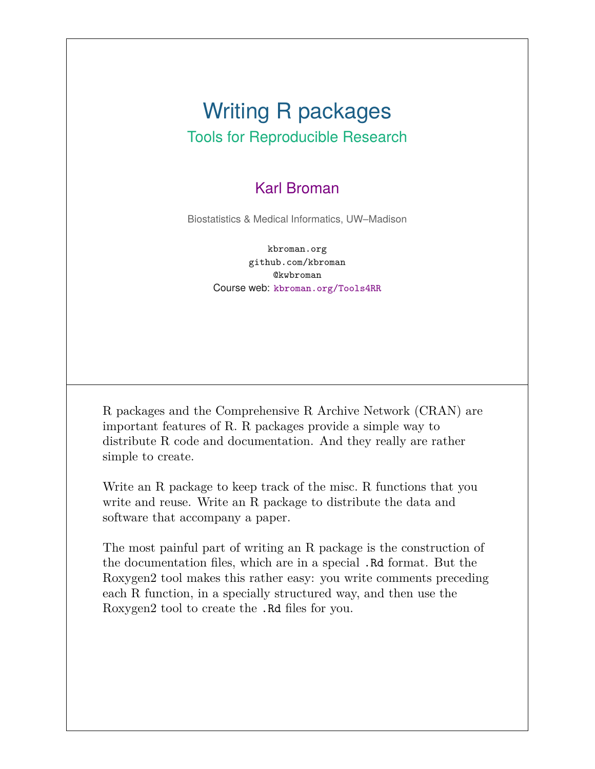### Writing R packages Tools for Reproducible Research

#### Karl Broman

Biostatistics & Medical Informatics, UW–Madison

kbroman.org github.com/kbroman @kwbroman Course web: kbroman.org/Tools4RR

R packages and the Comprehensive R Archive Network (CRAN) are important features of R. R packages provide a simple way to distribute R code and documentation. And they really are rather simple to create.

Write an R package to keep track of the misc. R functions that you write and reuse. Write an R package to distribute the data and software that accompany a paper.

The most painful part of writing an R package is the construction of the documentation files, which are in a special .Rd format. But the Roxygen2 tool makes this rather easy: you write comments preceding each R function, in a specially structured way, and then use the Roxygen2 tool to create the .Rd files for you.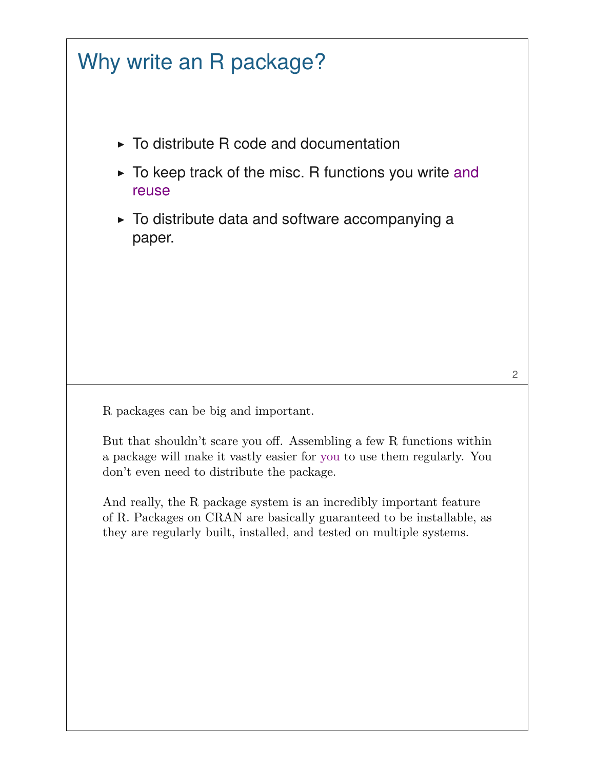# Why write an R package?

- $\triangleright$  To distribute R code and documentation
- $\triangleright$  To keep track of the misc. R functions you write and reuse
- ▶ To distribute data and software accompanying a paper.

R packages can be big and important.

But that shouldn't scare you off. Assembling a few R functions within a package will make it vastly easier for you to use them regularly. You don't even need to distribute the package.

And really, the R package system is an incredibly important feature of R. Packages on CRAN are basically guaranteed to be installable, as they are regularly built, installed, and tested on multiple systems.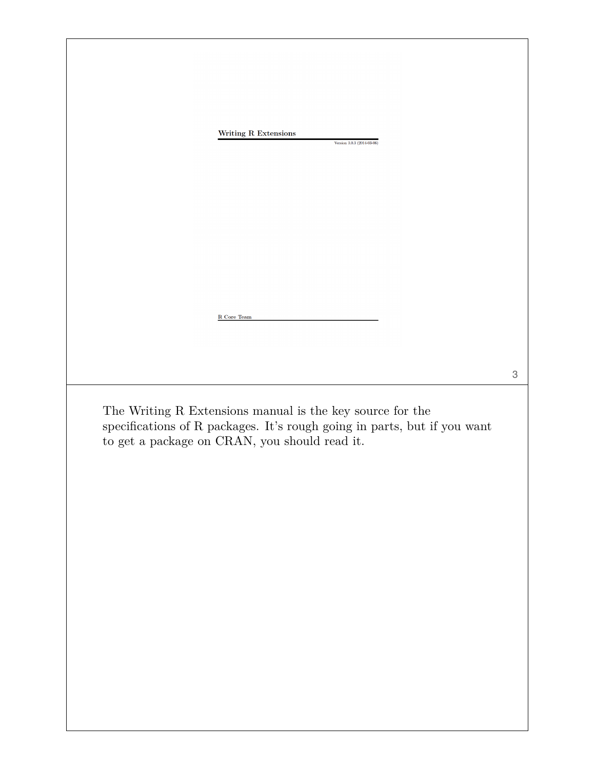| Writing R Extensions                               | Version 3.0.3 (2014-03-06)                                               |  |
|----------------------------------------------------|--------------------------------------------------------------------------|--|
|                                                    |                                                                          |  |
|                                                    |                                                                          |  |
|                                                    |                                                                          |  |
|                                                    |                                                                          |  |
|                                                    |                                                                          |  |
|                                                    |                                                                          |  |
|                                                    |                                                                          |  |
| R Core Team                                        |                                                                          |  |
|                                                    |                                                                          |  |
|                                                    |                                                                          |  |
|                                                    | The Writing R Extensions manual is the key source for the                |  |
| to get a package on CRAN, you should read it. $\,$ | specifications of R packages. It's rough going in parts, but if you want |  |
|                                                    |                                                                          |  |
|                                                    |                                                                          |  |
|                                                    |                                                                          |  |
|                                                    |                                                                          |  |
|                                                    |                                                                          |  |
|                                                    |                                                                          |  |
|                                                    |                                                                          |  |
|                                                    |                                                                          |  |
|                                                    |                                                                          |  |
|                                                    |                                                                          |  |
|                                                    |                                                                          |  |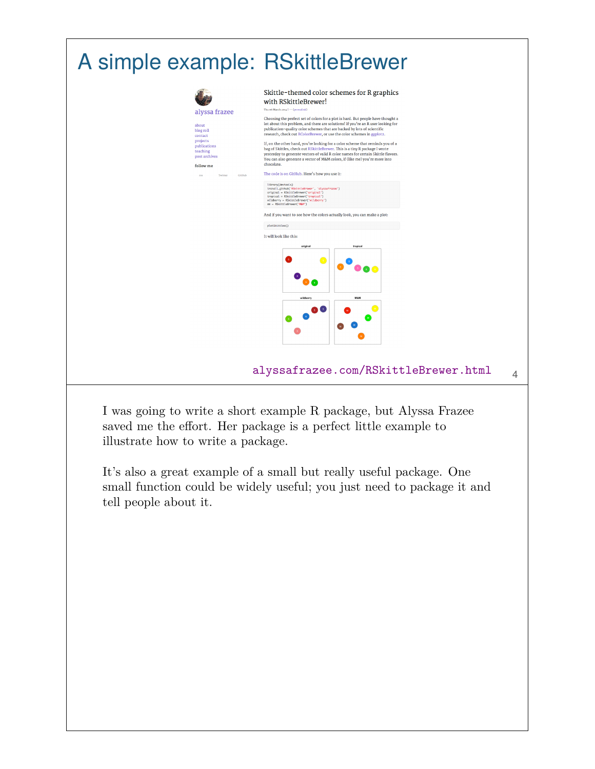

saved me the effort. Her package is a perfect little example to illustrate how to write a package.

It's also a great example of a small but really useful package. One small function could be widely useful; you just need to package it and tell people about it.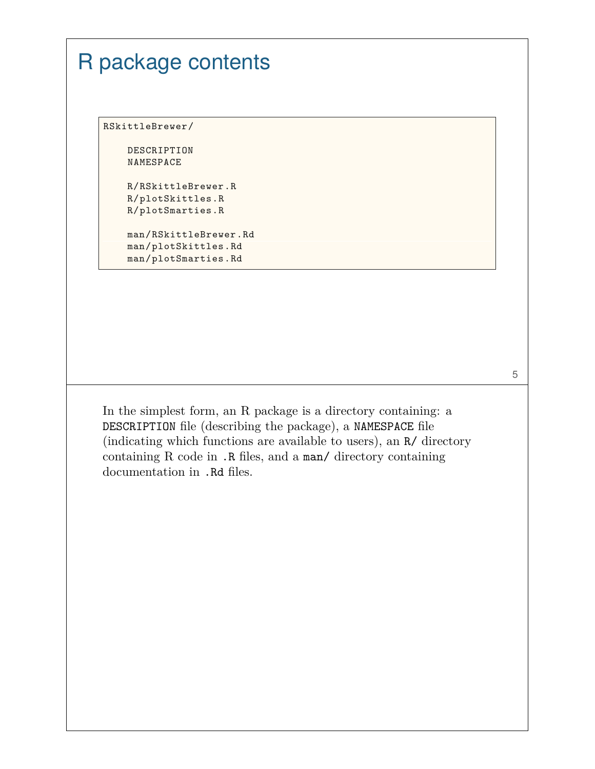### R package contents RSkittleBrewer/ DESCRIPTION NAMESPACE R/RSkittleBrewer.R R/plotSkittles.R R/plotSmarties.R man/RSkittleBrewer.Rd man/plotSkittles.Rd man/plotSmarties.Rd

In the simplest form, an R package is a directory containing: a DESCRIPTION file (describing the package), a NAMESPACE file (indicating which functions are available to users), an R/ directory containing R code in .R files, and a man/ directory containing documentation in .Rd files.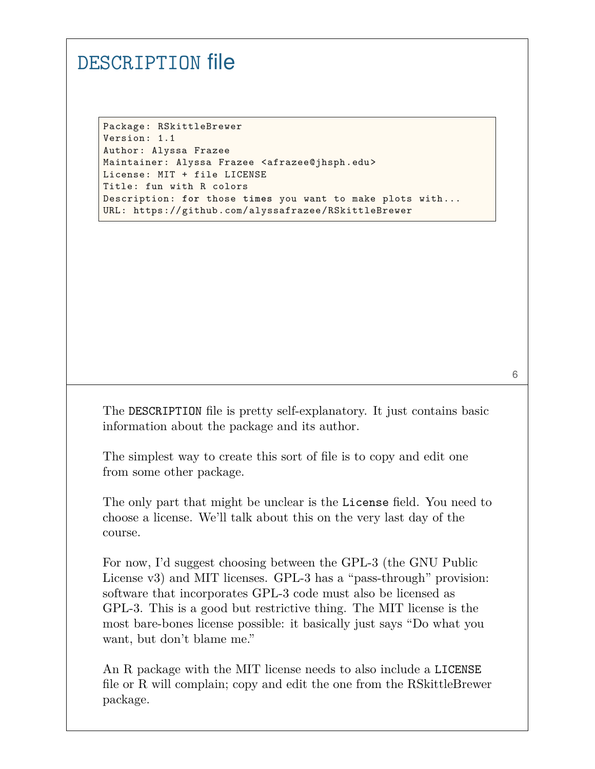#### DESCRIPTION file

Package: RSkittleBrewer Version: 1.1 Author: Alyssa Frazee Maintainer: Alyssa Frazee <afrazee@jhsph.edu> License: MIT + file LICENSE Title: fun with R colors Description: **for** those **times** you want to make plots with... URL: https://github.com/alyssafrazee/RSkittleBrewer

The DESCRIPTION file is pretty self-explanatory. It just contains basic information about the package and its author.

6

The simplest way to create this sort of file is to copy and edit one from some other package.

The only part that might be unclear is the License field. You need to choose a license. We'll talk about this on the very last day of the course.

For now, I'd suggest choosing between the GPL-3 (the GNU Public License v3) and MIT licenses. GPL-3 has a "pass-through" provision: software that incorporates GPL-3 code must also be licensed as GPL-3. This is a good but restrictive thing. The MIT license is the most bare-bones license possible: it basically just says "Do what you want, but don't blame me."

An R package with the MIT license needs to also include a LICENSE file or R will complain; copy and edit the one from the RSkittleBrewer package.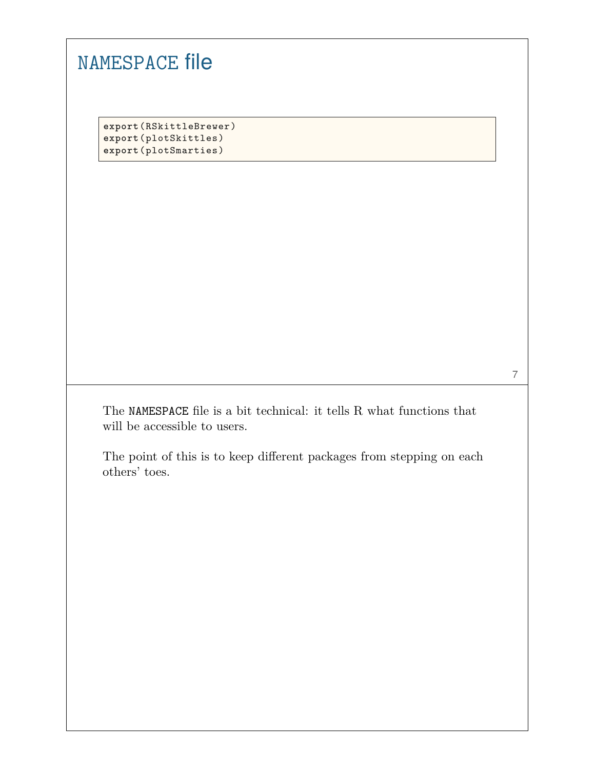| <b>NAMESPACE file</b>                                                                  |
|----------------------------------------------------------------------------------------|
|                                                                                        |
|                                                                                        |
| export (RSkittleBrewer)                                                                |
| export(plotSkittles)<br>export (plotSmarties)                                          |
|                                                                                        |
|                                                                                        |
|                                                                                        |
|                                                                                        |
|                                                                                        |
|                                                                                        |
|                                                                                        |
|                                                                                        |
|                                                                                        |
|                                                                                        |
|                                                                                        |
|                                                                                        |
| The NAMESPACE file is a bit technical: it tells R what functions that                  |
| will be accessible to users.                                                           |
|                                                                                        |
| The point of this is to keep different packages from stepping on each<br>others' toes. |
|                                                                                        |
|                                                                                        |
|                                                                                        |
|                                                                                        |
|                                                                                        |
|                                                                                        |
|                                                                                        |
|                                                                                        |
|                                                                                        |
|                                                                                        |
|                                                                                        |
|                                                                                        |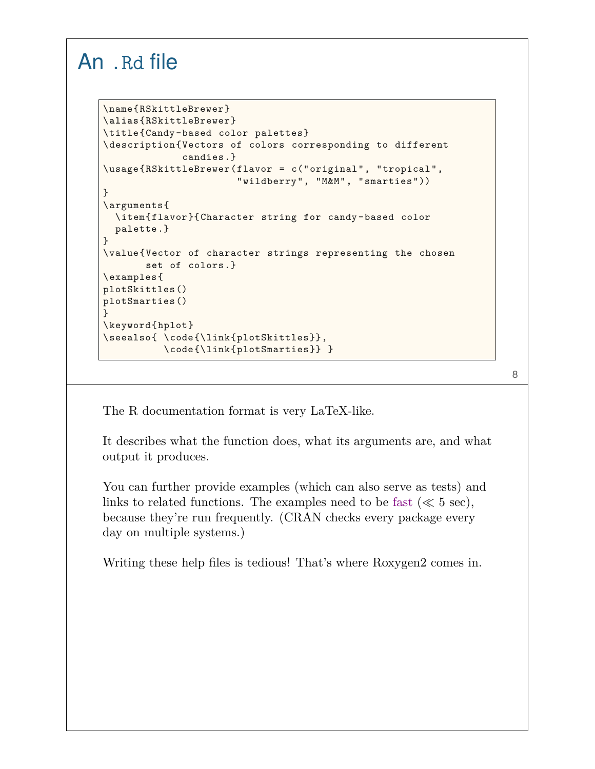#### An .Rd file

```
\name{RSkittleBrewer}
\alias{RSkittleBrewer}
\title{Candy-based color palettes}
\description{Vectors of colors corresponding to different
             candies.}
\usage{RSkittleBrewer(flavor = c("original", "tropical",
                      "wildberry", "M&M", "smarties"))
}
\arguments{
  \item{flavor}{Character string for candy-based color
  palette.}
}
\value{Vector of character strings representing the chosen
       set of colors.}
\examples{
plotSkittles()
plotSmarties()
}
\keyword{hplot}
\seealso{ \code{\link{plotSkittles}},
          \code{\link{plotSmarties}} }
```
8

The R documentation format is very LaTeX-like.

It describes what the function does, what its arguments are, and what output it produces.

You can further provide examples (which can also serve as tests) and links to related functions. The examples need to be fast ( $\ll 5$  sec), because they're run frequently. (CRAN checks every package every day on multiple systems.)

Writing these help files is tedious! That's where Roxygen2 comes in.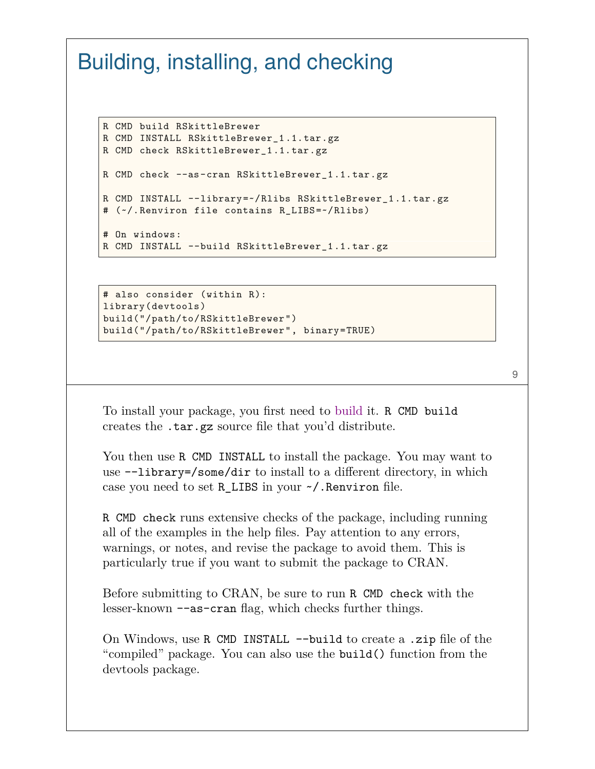### Building, installing, and checking

```
R CMD build RSkittleBrewer
R CMD INSTALL RSkittleBrewer_1.1.tar.gz
R CMD check RSkittleBrewer_1.1.tar.gz
R CMD check --as-cran RSkittleBrewer_1.1.tar.gz
R CMD INSTALL --library=~/Rlibs RSkittleBrewer_1.1.tar.gz
# (~/.Renviron file contains R_LIBS=~/Rlibs)
# On windows:
R CMD INSTALL --build RSkittleBrewer_1.1.tar.gz
```

```
# also consider (within R):
library(devtools)
build("/path/to/RSkittleBrewer")
build("/path/to/RSkittleBrewer", binary=TRUE)
```

```
9
```
To install your package, you first need to build it. R CMD build creates the .tar.gz source file that you'd distribute.

You then use R CMD INSTALL to install the package. You may want to use --library=/some/dir to install to a different directory, in which case you need to set R\_LIBS in your ~/.Renviron file.

R CMD check runs extensive checks of the package, including running all of the examples in the help files. Pay attention to any errors, warnings, or notes, and revise the package to avoid them. This is particularly true if you want to submit the package to CRAN.

Before submitting to CRAN, be sure to run R CMD check with the lesser-known --as-cran flag, which checks further things.

On Windows, use R CMD INSTALL --build to create a .zip file of the "compiled" package. You can also use the build() function from the devtools package.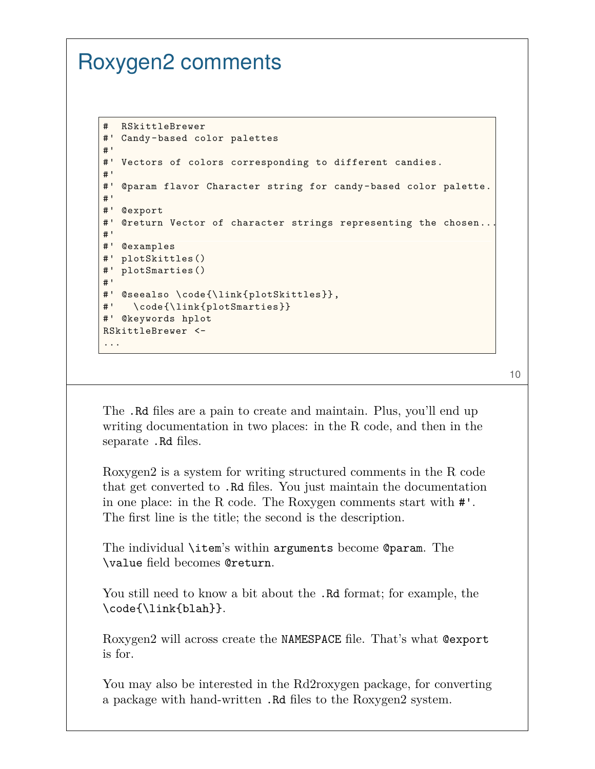## Roxygen2 comments

```
# RSkittleBrewer
#' Candy-based color palettes
#'
#' Vectors of colors corresponding to different candies.
#'
#' @param flavor Character string for candy-based color palette.
#'
#' @export
#' @return Vector of character strings representing the chosen...
#'
#' @examples
#' plotSkittles()
#' plotSmarties()
#'
#' @seealso \code{\link{plotSkittles}},
#' \code{\link{plotSmarties}}
#' @keywords hplot
RSkittleBrewer <-
...
```
10

The .Rd files are a pain to create and maintain. Plus, you'll end up writing documentation in two places: in the R code, and then in the separate .Rd files.

Roxygen2 is a system for writing structured comments in the R code that get converted to .Rd files. You just maintain the documentation in one place: in the R code. The Roxygen comments start with #'. The first line is the title; the second is the description.

The individual \item's within arguments become @param. The \value field becomes @return.

You still need to know a bit about the .Rd format; for example, the \code{\link{blah}}.

Roxygen2 will across create the NAMESPACE file. That's what @export is for.

You may also be interested in the Rd2roxygen package, for converting a package with hand-written .Rd files to the Roxygen2 system.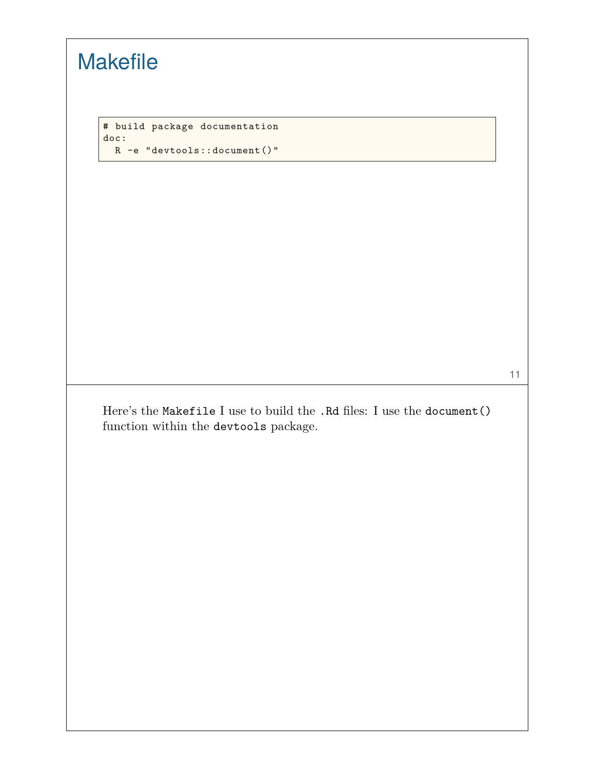|      | # build package documentation                                            |  |
|------|--------------------------------------------------------------------------|--|
| doc: | $R - e$ "devtools::document ()"                                          |  |
|      |                                                                          |  |
|      |                                                                          |  |
|      |                                                                          |  |
|      |                                                                          |  |
|      |                                                                          |  |
|      |                                                                          |  |
|      |                                                                          |  |
|      |                                                                          |  |
|      |                                                                          |  |
|      |                                                                          |  |
|      | Here's the Makefile I use to build the . Rd files: I use the document () |  |
|      | function within the devtools package.                                    |  |
|      |                                                                          |  |
|      |                                                                          |  |
|      |                                                                          |  |
|      |                                                                          |  |
|      |                                                                          |  |
|      |                                                                          |  |
|      |                                                                          |  |
|      |                                                                          |  |
|      |                                                                          |  |

 $\overline{\phantom{a}}$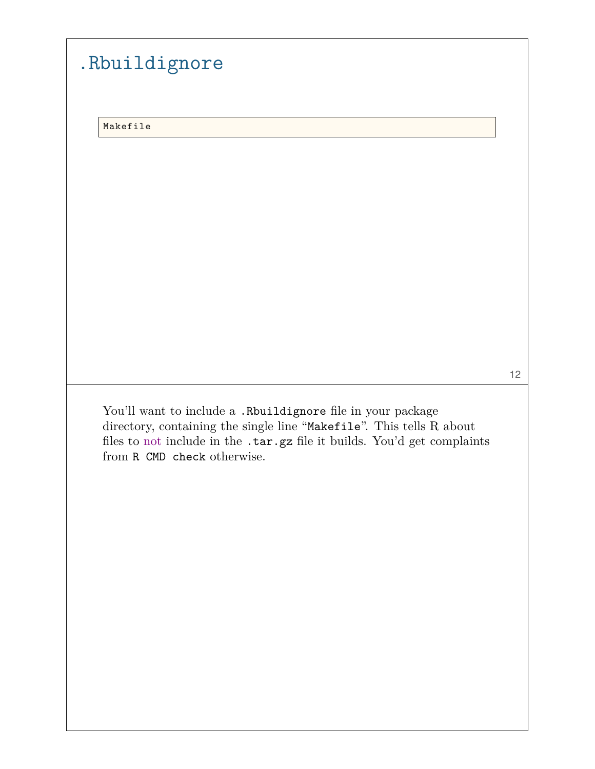| Makefile |                                                                                                                                                                                                                                                |  |  |
|----------|------------------------------------------------------------------------------------------------------------------------------------------------------------------------------------------------------------------------------------------------|--|--|
|          |                                                                                                                                                                                                                                                |  |  |
|          |                                                                                                                                                                                                                                                |  |  |
|          |                                                                                                                                                                                                                                                |  |  |
|          |                                                                                                                                                                                                                                                |  |  |
|          |                                                                                                                                                                                                                                                |  |  |
|          |                                                                                                                                                                                                                                                |  |  |
|          |                                                                                                                                                                                                                                                |  |  |
|          |                                                                                                                                                                                                                                                |  |  |
|          |                                                                                                                                                                                                                                                |  |  |
|          |                                                                                                                                                                                                                                                |  |  |
|          | You'll want to include a .Rbuildignore file in your package<br>directory, containing the single line "Makefile". This tells R about<br>files to not include in the .tar.gz file it builds. You'd get complaints<br>from R CMD check otherwise. |  |  |
|          |                                                                                                                                                                                                                                                |  |  |
|          |                                                                                                                                                                                                                                                |  |  |
|          |                                                                                                                                                                                                                                                |  |  |
|          |                                                                                                                                                                                                                                                |  |  |
|          |                                                                                                                                                                                                                                                |  |  |

 $\overline{\phantom{a}}$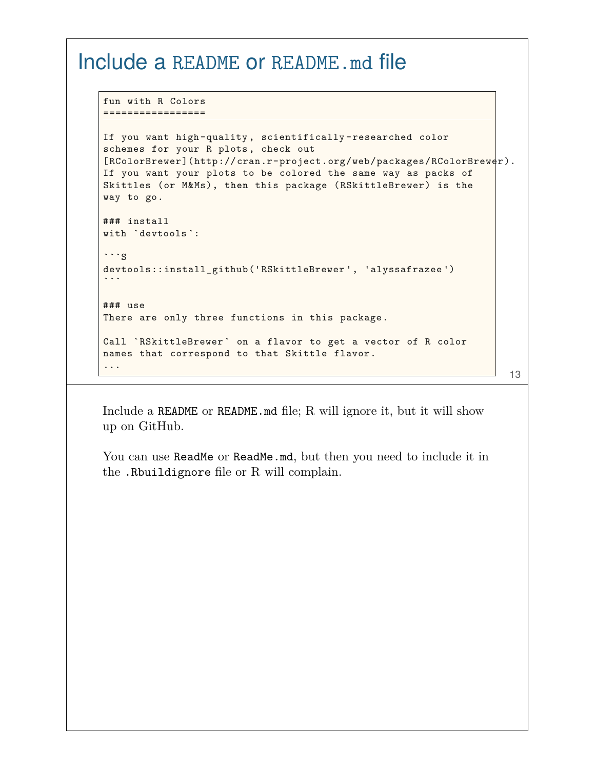#### Include a README or README.md file

```
fun with R Colors
=================
If you want high-quality , scientifically -researched color
schemes for your R plots, check out
[RColorBrewer](http://cran.r-project.org/web/packages/RColorBrewer).
If you want your plots to be colored the same way as packs of
Skittles (or M&Ms), then this package (RSkittleBrewer) is the
way to go.
### install
with `devtools `:
\cdotss
devtools::install_github('RSkittleBrewer ', 'alyssafrazee ')
\ddot{\phantom{0}}### use
There are only three functions in this package.
Call `RSkittleBrewer ` on a flavor to get a vector of R color
names that correspond to that Skittle flavor.
...
                                                                       13
```
Include a README or README.md file; R will ignore it, but it will show up on GitHub.

You can use ReadMe or ReadMe.md, but then you need to include it in the .Rbuildignore file or R will complain.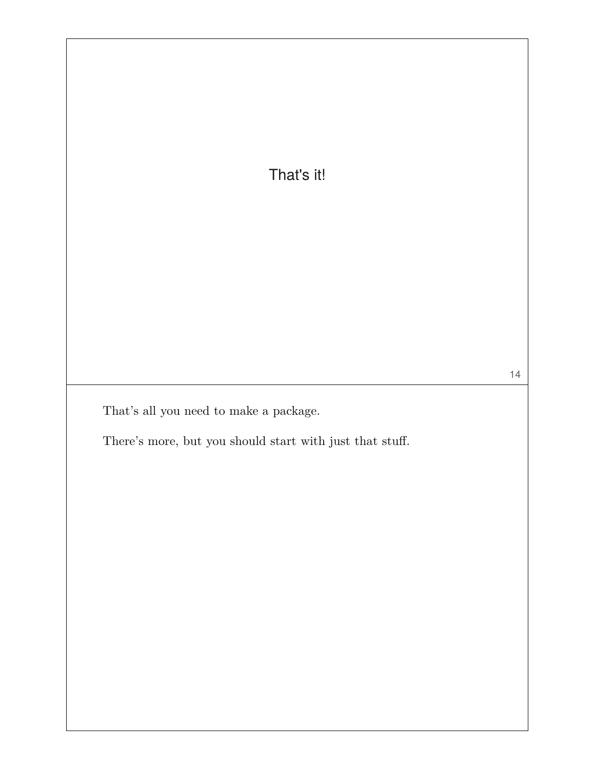That's it!

That's all you need to make a package.

There's more, but you should start with just that stuff.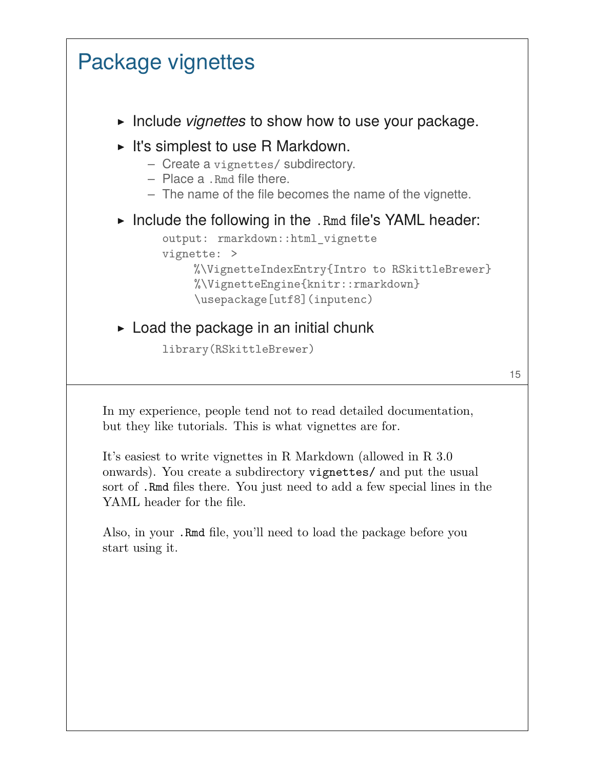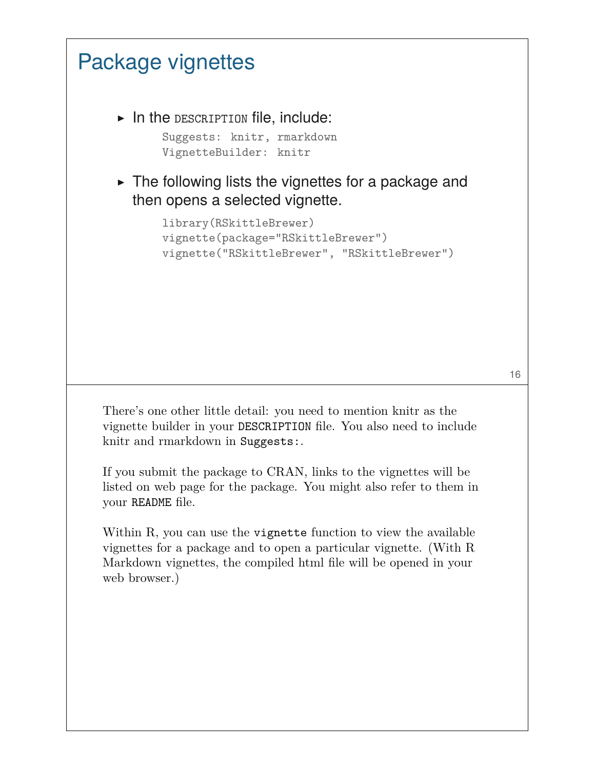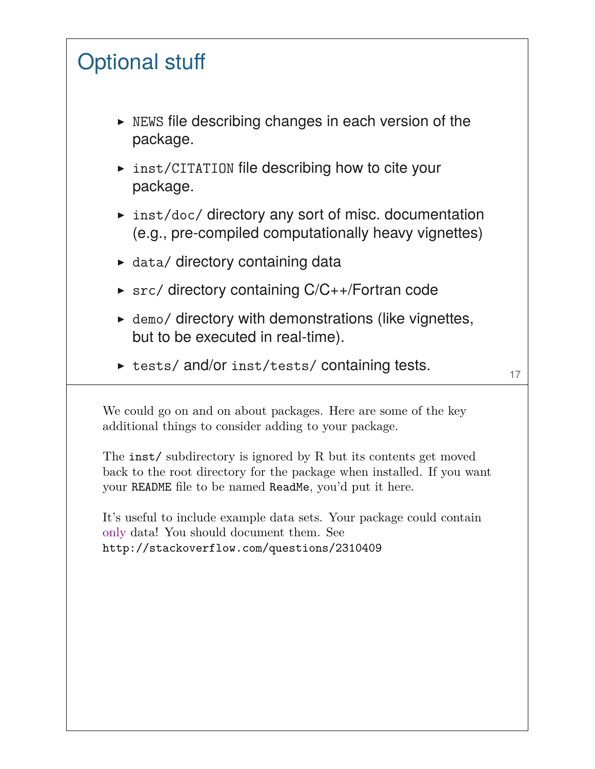# Optional stuff

- ▶ NEWS file describing changes in each version of the package.
- ▶ inst/CITATION file describing how to cite your package.
- ▶ inst/doc/ directory any sort of misc. documentation (e.g., pre-compiled computationally heavy vignettes)
- $\triangleright$  data/ directory containing data
- ▶ src/ directory containing C/C++/Fortran code
- $\blacktriangleright$  demo/ directory with demonstrations (like vignettes, but to be executed in real-time).
- ▶ tests/ and/or inst/tests/ containing tests.

17

We could go on and on about packages. Here are some of the key additional things to consider adding to your package.

The inst/ subdirectory is ignored by R but its contents get moved back to the root directory for the package when installed. If you want your README file to be named ReadMe, you'd put it here.

It's useful to include example data sets. Your package could contain only data! You should document them. See http://stackoverflow.com/questions/2310409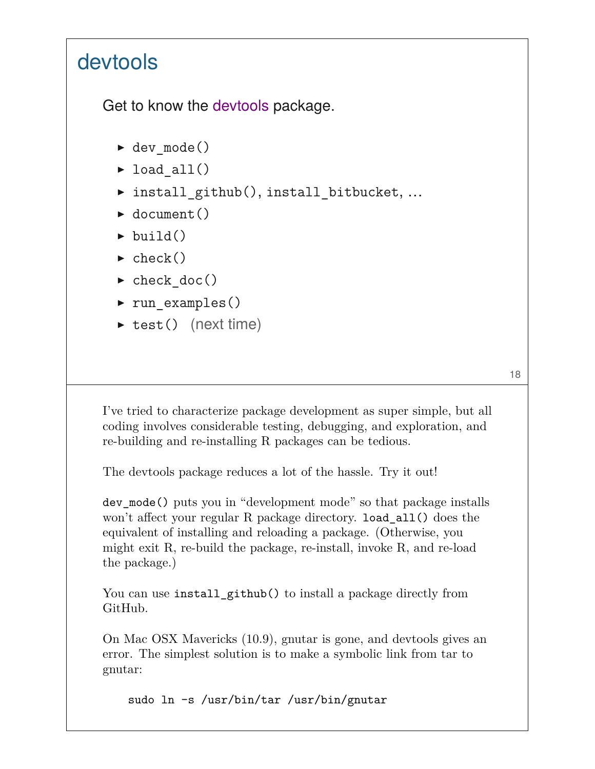## devtools

Get to know the devtools package.

- ▶ dev\_mode()
- $\blacktriangleright$  load all()
- ▶ install github(), install bitbucket, ...
- $\blacktriangleright$  document()
- $\blacktriangleright$  build()
- $\blacktriangleright$  check()
- $\blacktriangleright$  check doc()
- ▶ run examples()
- ▶ test() (next time)

18

I've tried to characterize package development as super simple, but all coding involves considerable testing, debugging, and exploration, and re-building and re-installing R packages can be tedious.

The devtools package reduces a lot of the hassle. Try it out!

dev\_mode() puts you in "development mode" so that package installs won't affect your regular R package directory. load\_all() does the equivalent of installing and reloading a package. (Otherwise, you might exit R, re-build the package, re-install, invoke R, and re-load the package.)

You can use install\_github() to install a package directly from GitHub.

On Mac OSX Mavericks (10.9), gnutar is gone, and devtools gives an error. The simplest solution is to make a symbolic link from tar to gnutar:

sudo ln -s /usr/bin/tar /usr/bin/gnutar